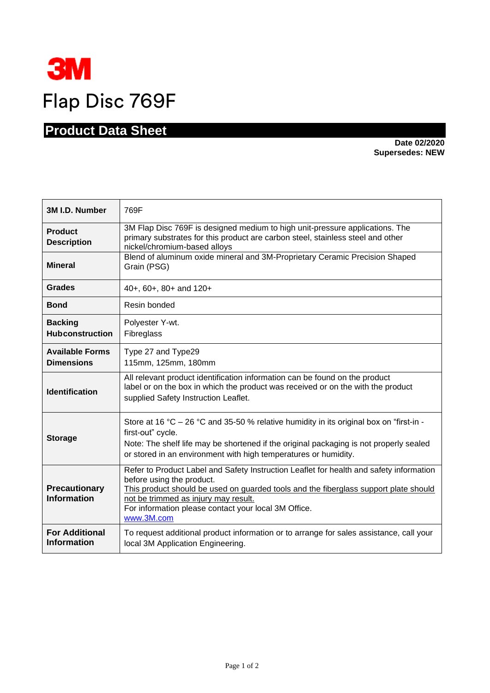

## **Product Data Sheet**

**Date 02/2020 Supersedes: NEW** 

| 3M I.D. Number                              | 769F                                                                                                                                                                                                                                                                                                                       |
|---------------------------------------------|----------------------------------------------------------------------------------------------------------------------------------------------------------------------------------------------------------------------------------------------------------------------------------------------------------------------------|
| <b>Product</b><br><b>Description</b>        | 3M Flap Disc 769F is designed medium to high unit-pressure applications. The<br>primary substrates for this product are carbon steel, stainless steel and other<br>nickel/chromium-based alloys                                                                                                                            |
| <b>Mineral</b>                              | Blend of aluminum oxide mineral and 3M-Proprietary Ceramic Precision Shaped<br>Grain (PSG)                                                                                                                                                                                                                                 |
| <b>Grades</b>                               | 40+, 60+, 80+ and 120+                                                                                                                                                                                                                                                                                                     |
| <b>Bond</b>                                 | Resin bonded                                                                                                                                                                                                                                                                                                               |
| <b>Backing</b><br><b>Hubconstruction</b>    | Polyester Y-wt.<br>Fibreglass                                                                                                                                                                                                                                                                                              |
| <b>Available Forms</b><br><b>Dimensions</b> | Type 27 and Type29<br>115mm, 125mm, 180mm                                                                                                                                                                                                                                                                                  |
| <b>Identification</b>                       | All relevant product identification information can be found on the product<br>label or on the box in which the product was received or on the with the product<br>supplied Safety Instruction Leaflet.                                                                                                                    |
| <b>Storage</b>                              | Store at 16 °C – 26 °C and 35-50 % relative humidity in its original box on "first-in -<br>first-out" cycle.<br>Note: The shelf life may be shortened if the original packaging is not properly sealed<br>or stored in an environment with high temperatures or humidity.                                                  |
| <b>Precautionary</b><br><b>Information</b>  | Refer to Product Label and Safety Instruction Leaflet for health and safety information<br>before using the product.<br>This product should be used on guarded tools and the fiberglass support plate should<br>not be trimmed as injury may result.<br>For information please contact your local 3M Office.<br>www.3M.com |
| <b>For Additional</b><br><b>Information</b> | To request additional product information or to arrange for sales assistance, call your<br>local 3M Application Engineering.                                                                                                                                                                                               |